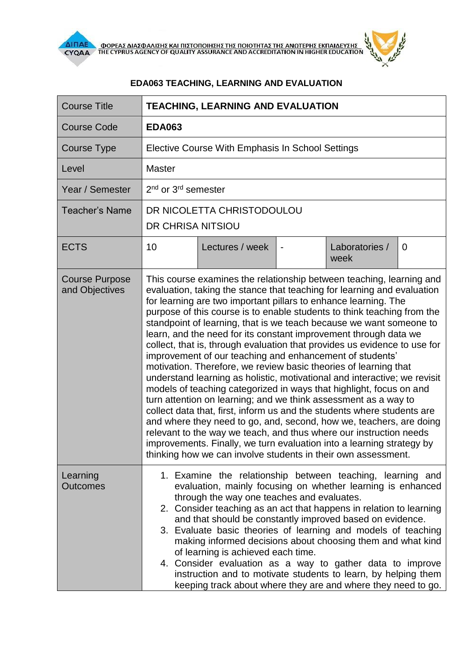



## **EDA063 TEACHING, LEARNING AND EVALUATION**

| <b>Course Title</b>                     | <b>TEACHING, LEARNING AND EVALUATION</b>                                                                                                                                                                                                                                                                                                                                                                                                                                                                                                                                                                                                                                                                                                                                                                                                                                                                                                                                                                                                                                                                                                                                                                                                       |                 |  |                        |          |  |
|-----------------------------------------|------------------------------------------------------------------------------------------------------------------------------------------------------------------------------------------------------------------------------------------------------------------------------------------------------------------------------------------------------------------------------------------------------------------------------------------------------------------------------------------------------------------------------------------------------------------------------------------------------------------------------------------------------------------------------------------------------------------------------------------------------------------------------------------------------------------------------------------------------------------------------------------------------------------------------------------------------------------------------------------------------------------------------------------------------------------------------------------------------------------------------------------------------------------------------------------------------------------------------------------------|-----------------|--|------------------------|----------|--|
| <b>Course Code</b>                      | <b>EDA063</b>                                                                                                                                                                                                                                                                                                                                                                                                                                                                                                                                                                                                                                                                                                                                                                                                                                                                                                                                                                                                                                                                                                                                                                                                                                  |                 |  |                        |          |  |
| <b>Course Type</b>                      | Elective Course With Emphasis In School Settings                                                                                                                                                                                                                                                                                                                                                                                                                                                                                                                                                                                                                                                                                                                                                                                                                                                                                                                                                                                                                                                                                                                                                                                               |                 |  |                        |          |  |
| Level                                   | <b>Master</b>                                                                                                                                                                                                                                                                                                                                                                                                                                                                                                                                                                                                                                                                                                                                                                                                                                                                                                                                                                                                                                                                                                                                                                                                                                  |                 |  |                        |          |  |
| Year / Semester                         | 2 <sup>nd</sup> or 3 <sup>rd</sup> semester                                                                                                                                                                                                                                                                                                                                                                                                                                                                                                                                                                                                                                                                                                                                                                                                                                                                                                                                                                                                                                                                                                                                                                                                    |                 |  |                        |          |  |
| <b>Teacher's Name</b>                   | DR NICOLETTA CHRISTODOULOU<br>DR CHRISA NITSIOU                                                                                                                                                                                                                                                                                                                                                                                                                                                                                                                                                                                                                                                                                                                                                                                                                                                                                                                                                                                                                                                                                                                                                                                                |                 |  |                        |          |  |
| <b>ECTS</b>                             | 10                                                                                                                                                                                                                                                                                                                                                                                                                                                                                                                                                                                                                                                                                                                                                                                                                                                                                                                                                                                                                                                                                                                                                                                                                                             | Lectures / week |  | Laboratories /<br>week | $\Omega$ |  |
| <b>Course Purpose</b><br>and Objectives | This course examines the relationship between teaching, learning and<br>evaluation, taking the stance that teaching for learning and evaluation<br>for learning are two important pillars to enhance learning. The<br>purpose of this course is to enable students to think teaching from the<br>standpoint of learning, that is we teach because we want someone to<br>learn, and the need for its constant improvement through data we<br>collect, that is, through evaluation that provides us evidence to use for<br>improvement of our teaching and enhancement of students'<br>motivation. Therefore, we review basic theories of learning that<br>understand learning as holistic, motivational and interactive; we revisit<br>models of teaching categorized in ways that highlight, focus on and<br>turn attention on learning; and we think assessment as a way to<br>collect data that, first, inform us and the students where students are<br>and where they need to go, and, second, how we, teachers, are doing<br>relevant to the way we teach, and thus where our instruction needs<br>improvements. Finally, we turn evaluation into a learning strategy by<br>thinking how we can involve students in their own assessment. |                 |  |                        |          |  |
| Learning<br><b>Outcomes</b>             | 1. Examine the relationship between teaching, learning and<br>evaluation, mainly focusing on whether learning is enhanced<br>through the way one teaches and evaluates.<br>2. Consider teaching as an act that happens in relation to learning<br>and that should be constantly improved based on evidence.<br>3. Evaluate basic theories of learning and models of teaching<br>making informed decisions about choosing them and what kind<br>of learning is achieved each time.<br>4. Consider evaluation as a way to gather data to improve<br>instruction and to motivate students to learn, by helping them<br>keeping track about where they are and where they need to go.                                                                                                                                                                                                                                                                                                                                                                                                                                                                                                                                                              |                 |  |                        |          |  |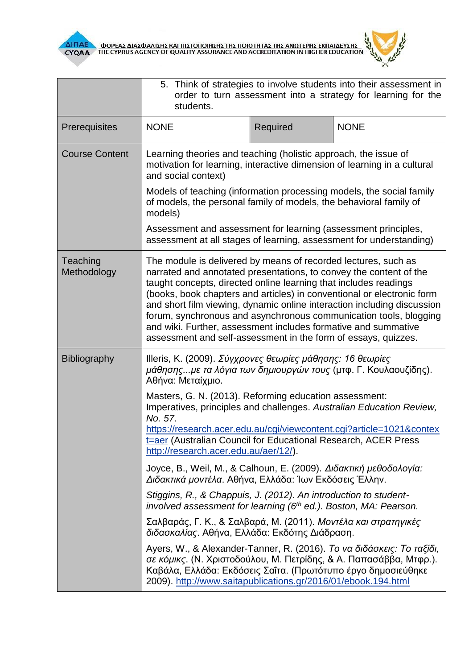



|                         | 5. Think of strategies to involve students into their assessment in<br>order to turn assessment into a strategy for learning for the<br>students.                                                                                                                                                                                                                                                                                                                                                                                                                      |          |             |  |  |  |
|-------------------------|------------------------------------------------------------------------------------------------------------------------------------------------------------------------------------------------------------------------------------------------------------------------------------------------------------------------------------------------------------------------------------------------------------------------------------------------------------------------------------------------------------------------------------------------------------------------|----------|-------------|--|--|--|
| Prerequisites           | <b>NONE</b>                                                                                                                                                                                                                                                                                                                                                                                                                                                                                                                                                            | Required | <b>NONE</b> |  |  |  |
| <b>Course Content</b>   | Learning theories and teaching (holistic approach, the issue of<br>motivation for learning, interactive dimension of learning in a cultural<br>and social context)<br>Models of teaching (information processing models, the social family<br>of models, the personal family of models, the behavioral family of<br>models)                                                                                                                                                                                                                                            |          |             |  |  |  |
|                         |                                                                                                                                                                                                                                                                                                                                                                                                                                                                                                                                                                        |          |             |  |  |  |
|                         | Assessment and assessment for learning (assessment principles,<br>assessment at all stages of learning, assessment for understanding)                                                                                                                                                                                                                                                                                                                                                                                                                                  |          |             |  |  |  |
| Teaching<br>Methodology | The module is delivered by means of recorded lectures, such as<br>narrated and annotated presentations, to convey the content of the<br>taught concepts, directed online learning that includes readings<br>(books, book chapters and articles) in conventional or electronic form<br>and short film viewing, dynamic online interaction including discussion<br>forum, synchronous and asynchronous communication tools, blogging<br>and wiki. Further, assessment includes formative and summative<br>assessment and self-assessment in the form of essays, quizzes. |          |             |  |  |  |
| Bibliography            | Illeris, Κ. (2009). Σύγχρονες θεωρίες μάθησης: 16 θεωρίες<br>μάθησηςμε τα λόγια των δημιουργών τους (μτφ. Γ. Κουλαουζίδης).<br>Αθήνα: Μεταίχμιο.                                                                                                                                                                                                                                                                                                                                                                                                                       |          |             |  |  |  |
|                         | Masters, G. N. (2013). Reforming education assessment:<br>Imperatives, principles and challenges. Australian Education Review,<br>No. 57.<br>https://research.acer.edu.au/cgi/viewcontent.cgi?article=1021&contex<br><b>t</b> =aer (Australian Council for Educational Research, ACER Press<br>http://research.acer.edu.au/aer/12/).                                                                                                                                                                                                                                   |          |             |  |  |  |
|                         | Joyce, B., Weil, M., & Calhoun, E. (2009). Διδακτική μεθοδολογία:<br>Διδακτικά μοντέλα. Αθήνα, Ελλάδα: Ίων Εκδόσεις Έλλην.                                                                                                                                                                                                                                                                                                                                                                                                                                             |          |             |  |  |  |
|                         | Stiggins, R., & Chappuis, J. (2012). An introduction to student-<br>involved assessment for learning (6th ed.). Boston, MA: Pearson.                                                                                                                                                                                                                                                                                                                                                                                                                                   |          |             |  |  |  |
|                         | Σαλβαράς, Γ. Κ., & Σαλβαρά, Μ. (2011). Μοντέλα και στρατηγικές<br>διδασκαλίας. Αθήνα, Ελλάδα: Εκδότης Διάδραση.                                                                                                                                                                                                                                                                                                                                                                                                                                                        |          |             |  |  |  |
|                         | Ayers, W., & Alexander-Tanner, R. (2016). Το να διδάσκεις: Το ταξίδι,<br>σε κόμικς. (Ν. Χριστοδούλου, Μ. Πετρίδης, & Α. Παπασάββα, Μτφρ.).<br>Καβάλα, Ελλάδα: Εκδόσεις Σαΐτα. (Πρωτότυπο έργο δημοσιεύθηκε<br>2009). http://www.saitapublications.gr/2016/01/ebook.194.html                                                                                                                                                                                                                                                                                            |          |             |  |  |  |